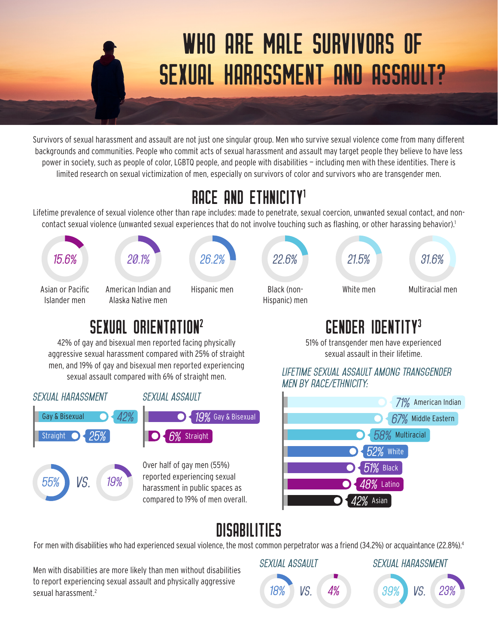# WHO ARE MALE SURVIVORS OF SEXUAL HARASSMENT AND ASSAULT?

Survivors of sexual harassment and assault are not just one singular group. Men who survive sexual violence come from many different backgrounds and communities. People who commit acts of sexual harassment and assault may target people they believe to have less power in society, such as people of color, LGBTQ people, and people with disabilities — including men with these identities. There is limited research on sexual victimization of men, especially on survivors of color and survivors who are transgender men.

### RACE AND ETHNICIT

Lifetime prevalence of sexual violence other than rape includes: made to penetrate, sexual coercion, unwanted sexual contact, and noncontact sexual violence (unwanted sexual experiences that do not involve touching such as flashing, or other harassing behavior).<sup>1</sup>



#### sEXUAL ORIENTATION2

42% of gay and bisexual men reported facing physically aggressive sexual harassment compared with 25% of straight men, and 19% of gay and bisexual men reported experiencing sexual assault compared with 6% of straight men.



#### GENDER IDENTITY3

51% of transgender men have experienced sexual assault in their lifetime.

*Lifetime sexual assault among transgender men by race/ethnicity:*



## DISABILITIES

For men with disabilities who had experienced sexual violence, the most common perpetrator was a friend (34.2%) or acquaintance (22.8%).<sup>4</sup>

Men with disabilities are more likely than men without disabilities to report experiencing sexual assault and physically aggressive sexual harassment<sup>2</sup>